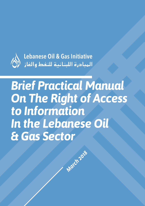

Lebanese Oil & Gas Initiative 

# *Brief Practical Manual On The Right of Access to Information In the Lebanese Oil & Gas Sector*

**March 2018**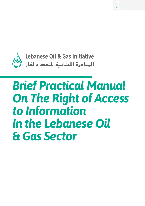

# *Brief Practical Manual On The Right of Access to Information In the Lebanese Oil & Gas Sector*

p. 1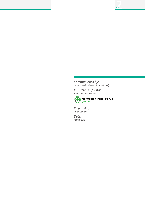*Commissioned by:* Lebanese Oil and Gas Initiative (LOGI)

*In Partnership with:* Norwegian People's Aid



Norwegian People's Aid

*Prepared by:* Julien Courson

*Date:* March, 2018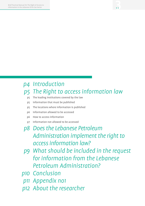## *Introduction p4*

### *The Right to access information law p5*

- The leading institutions covered by the law p5
- Information that must be published p5
- The locations where information is published p5
- Information allowed to be accessed p6
- How to access information p6
- Information not allowed to be accessed p7

### *Does the Lebanese Petroleum Administration implement the right to access information law? p8*

- *What should be included in the request p9 for information from the Lebanese Petroleum Administration?*
- *Conclusion p10*
- *Appendix no1 p11*
- *About the researcher p12*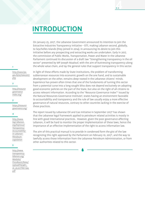On January 25, 2017<sup>1</sup>, the Lebanese Government announced its intention to join the Extractive Industries Transparency Initiative – EITI, making Lebanon second, globally, to Seychelles Islands (they joined in 2014), in announcing its desire to join this initiative before any prospecting and extracting works are undertaken. Early in 2017, the commission of Public Works, Transportation, Power and Water in the Lebanese Parliament continued its discussion of a draft law "Strengthening transparency in the oil sector" presented by MP Joseph Maalouf, with the aim of buttressing transparency along the whole value chain, and lay the general rules that support transparency in this sector.

p. 4

*http://www.lpa. gov.lb/ar/news2017. php*

#### *2*

*1*

*http://resource governance index.org/*

#### *3*

*https://resource governance.org/*

#### *4*

*http://www. logi-lebanon. org/KeyIssue/ Transparency-Accountabilityin-Lebanon-Petroleum-Legislation*

#### *5*

*http://www. transparencylebanon.org/ Modules/ PressRoom/News/ UploadFile/4811\_ Ar\_20,01,YYAti-law. pdf*

In light of these efforts made by State institutions, the problem of transforming subterranean resources into economic growth on the one hand, and to sustainable development on the other, remains deep-rooted in the Lebanese citizens' minds. Experience has proven often times that one of the fundaments of turning this sector from a potential curse into a long sought bliss does not depend exclusively on adopting good economic policies on the part of the State, but also on the right of all citizens to access relevant information. According to the "Resource Governance Index"<sup>2</sup> issued by the Natural Resources Governance Institute<sup>3</sup>, states having an environment favorable to accountability and transparency and the rule of law usually enjoy a more effective governance of natural resources, contrary to other countries lacking in the exercise of these practices.

The report issued by Lebanese Oil and Gas Initiative in September 2017<sup>4</sup> has shown that the Lebanese legal framework applied to petroleum related activities is mostly in line with good international practices. However, given the poor governance affecting Lebanon, it will be hard to monitor the proper implementation of these laws, hence the importance of an effective implementation of the right to access information law.

The aim of this practical manual is to provide in condensed form the gist of the law recognizing this right approved by the Parliament on February 10, 2017<sup>5</sup>, and the way to lawfully access those information from the Lebanese Petroleum Administration, or from other authorities related to this sector.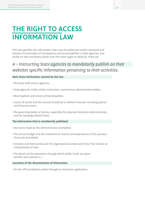## THE RIGHT TO ACCESS INFORMATION LAW

This law specifies the information that must be publicized and/or disclosed and bolsters the principles of transparency and accountability in State agencies, and builds on two mandatory duties that the State ought to abide by, these are:

### *A – Instructing State agencies to mandatorily publish on their websites specific information pertaining to their activities.*

### **Main State institutions covered by the law:**

- The State itself and its agencies,
- State agencies, Public Utility Institutions, autonomous administrative bodies,
- •Municipalities and Unions of Municipalities,
- Courts of Justice and the councils of judicial or arbitral character, including judicial and financial courts,
- The governing bodies of sectors, especially the Lebanese Petroleum Administration, and the Sovereign Wealth Fund…

### **The information that is mandatorily published**

- •Decisions made by the Administration (complete)
- The annual budget and the statement of income and expenditure of the previous fiscal year (complete)
- Circulars and memoranda and the organizational views and those that include an interpretation of laws
- The details of the operations through which public funds are spent (tenders and contracts…)

### **Locations of the dissemination of information**

•On the official website and/or through an electronic application.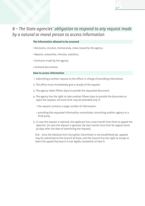### *B – The State agencies' obligation to respond to any request made by a natural or moral person to access information*

p. 6

### **The information allowed to be accessed**

- Decisions, circulars, memoranda, views issued by the agency.
- Reports, researches, minutes, statistics.
- Contracts made by the agency.
- Archived documents.

### **How to access information**

- 1. Submitting a written request to the officer in charge of providing information.
- 2. The office must immediately give a receipt of the request.
- 3. The agency takes fifteen days to provide the requested document.
- 4. The agency has the right to take another fifteen days to provide the document or reject the request, the time limit may be extended only if:
	- the request contains a large number of information,
	- providing the requested information necessitates consulting another agency or a third party,
- 5. In case the request is rejected, the applicant has a two-month time limit to appeal the rejection. (in case the request is ignored, the two-month time limit for appeal starts 30 days after the date of submitting the request).

N.B.: since the National Anti-Corruption Committee is not established yet, appeals may be submitted to the Council of State, and the Council has the right to accept or reject the appeal because it is not legally competent to hear it.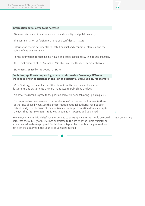#### **Information not allowed to be accessed**

- State secrets related to national defense and security, and public security
- The administration of foreign relations of a confidential nature
- •Information that is detrimental to State financial and economic interests, and the safety of national currency.
- Private information concerning individuals and issues being dealt with in courts of justice.
- The secret minutes of the Council of Ministers and the House of Representatives.
- Statements issued by the Council of State.

### **Doubtless, applicants requesting access to information face many different challenges since the issuance of the law on February 2, 2017, such as, for example:**

•Most State agencies and authorities did not publish on their websites the documents and statements they are mandated to publish by the law;

- No officer has been assigned to the position of receiving and following up on requests;
- •No response has been received to a number of written requests addressed to these authorities allegedly because the anticorruption national authority has not been established yet, or because of the non issuance of implementation decrees, despite the fact that the law enters into force as soon as it is passed and published.

However, some municipalities<sup>6</sup> have responded to some applicants. It should be noted, here, that the Ministry of Justice has submitted to the office of the Prime Minister an implementation decree proposal for this law in September 2017, but the proposal has not been included yet in the Council of Ministers agenda.

*6*

p. 7

*https://mutslb.org/*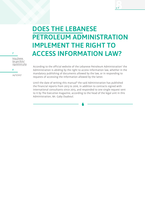## DOES THE LEBANESE PETROLEUM ADMINISTRATION IMPLEMENT THE RIGHT TO ACCESS INFORMATION LAW?

p. 8

*http://www. lpa.gov.lb/ar/ regulations.php*

*8 24/11/2017*

*7*

According to the official website of the Lebanese Petroleum Administration<sup>7</sup> the Administration is abiding by the right to access information law, whether in the mandatory publishing of documents allowed by the law, or in responding to requests of accessing the information allowed by the latter.

Until the date of writing this manual<sup>8</sup> the said Administration has published the financial reports from 2013 to 2016, in addition to contracts signed with international consultants since 2013, and responded to one single request sent to it by The Executive magazine, according to the head of the legal unit in this Administration, Mr. Gaby Daaboul.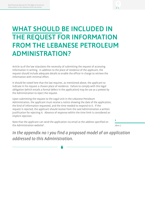## WHAT SHOULD BE INCLUDED IN THE REQUEST FOR INFORMATION FROM THE LEBANESE PETROLEUM ADMINISTRATION?

Article 14 of the law stipulates the necessity of submitting the request of accessing information in writing. In addition to the place of residence of the applicant, the request should include adequate details to enable the officer in charge to retrieve the information with minimal effort.

It should be noted here that the law requires, as mentioned above, the applicant to indicate in his request a chosen place of residence. Failure to comply with this legal obligation (which entails a formal defect in the application) may be use as a pretext by the Administration to reject the request.

Upon submitting the request to the Legal Unit in the Lebanese Petroleum Administration, the applicant must receive a notice showing the date of the application, the kind of information requested, and the time needed to respond to it. If the request is rejected, the applicant should receive from the said Administration a written justification for rejecting it. Absence of response within the time limit is considered an implicit rejection.

Note that the applicant can send the application via email at the address specified on the Administration website<sup>9</sup>.

*9*

*Idem 7.*

*In the appendix no 1 you find a proposed model of an application addressed to this Administration.*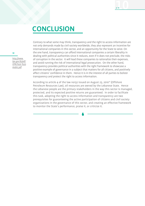

## **CONCLUSION**

*http://www. lpa.gov.lb/pdf/ OPRL%20-%20 Arabic.pdf*

*10*

Contrary to what some may think, transparency and the right to access information are not only demands made by civil society worldwide, they also represent an incentive for international companies in this sector, and an opportunity for the State to seize. On the one hand, transparency can afford international companies a certain liberality in dealing with political authorities since it reduces, even if it does not preclude, the risks of corruption in the sector. It will lead these companies to rationalize their expenses, and avoid running the risk of international legal prosecution. On the other hand, transparency provides political authorities with the right framework to showcase a positive example of governance in a subject that matters for all citizens, and positively affect citizens' confidence in them. Hence it is in the interest of all parties to bolster transparency and protect the right to access information.

According to article 4 of the law no132 issued on August 23, 2010<sup>10</sup> (Offshore Petroleum Resources Law), oil resources are owned by the Lebanese State. Hence the Lebanese people are the primary stakeholders in the way this sector is managed, protected, and its expected positive returns are guaranteed. In order to facilitate this task, adopting the right to access information and transparency are two prerequisites for guaranteeing the active participation of citizens and civil society organizations in the governance of this sector, and creating an effective framework to monitor the State's performance, praise it, or criticize it.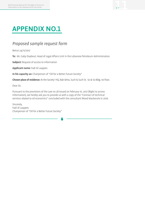## APPENDIX NO.1

### *Proposed sample request form*

Beirut 24/11/2017

**To:** Mr. Gaby Daaboul, Head of Legal Affairs Unit in the Lebanese Petroleum Administration

**Subject:** Request of access to information

**Applicant name:** Fadi Al Laqqees

**In his capacity as:** Chairperson of "Oil for a Better Future Society"

**Chosen place of residence:** At the Society' HQ, Bab Idriss, Such & Such St. So & So Bldg. 1st floor.

Dear Sir,

Pursuant to the provisions of the Law no 28 issued on February 10, 2017 (Right to access information), we hereby ask you to provide us with a copy of the "Contract of technical services related to oil economics" concluded with the consultant Wood Mackenzie in 2016.

Sincerely, Fadi Al Laqqees Chairperson of "Oil for a Better Future Society"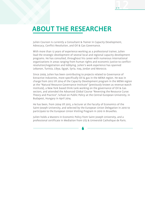## ABOUT THE RESEARCHER

Julien Courson is currently a Consultant & Trainer in Capacity Development, Advocacy, Conflict Resolution, and Oil & Gas Governance.

With more than 12 years of experience working as a professional trainer, Julien lead the strategic development of several local and regional capacity development programs. He has consulted, throughout his career with numerous international organizations in areas ranging from human rights and economic justice to conflictresolution/negotiation and lobbying. Julien's work experience has spanned Lebanon, Tunisia, Libya, Egypt, Syria, Iraq, Jordan and Morocco.

Since 2009, Julien has been contributing to projects related to Governance of Extractive Industries, more specifically Oil & gas in the MENA region. He was in charge from 2012 till 2014 of the Capacity Development program in the MENA region at the "Natural Resource Governance Institute" (previously known as revenue watch institute), a New York based think tank working on the governance of Oil & Gas sectors, and attended the Advanced Global Course "Reversing the Resource Curse: Theory and Practice", School on Public Policy at the Central European University, in Budapest, Hungary in April 2014.

He has been, from 2004 till 2015, a lecturer at the Faculty of Economics of the Saint-Joseph University, and selected by the European Union Delegation in 2010 to participate to the European Union Visiting Program in 2010 in Bruxelles.

Julien holds a Masters in Economic Policy from Saint Joseph University, and a professional certificate in Mediation from USJ & Université Catholique de Paris.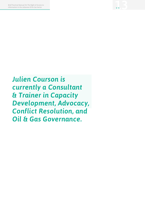*Julien Courson is currently a Consultant & Trainer in Capacity Development, Advocacy, Conflict Resolution, and Oil & Gas Governance.*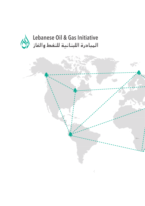

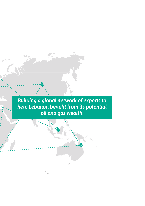*Building a global network of experts to help Lebanon benefit from its potential oil and gas wealth.*

法合同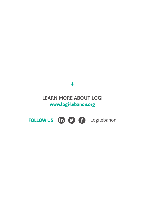### LEARN MORE ABOUT LOGIwww.logi-lebanon.org